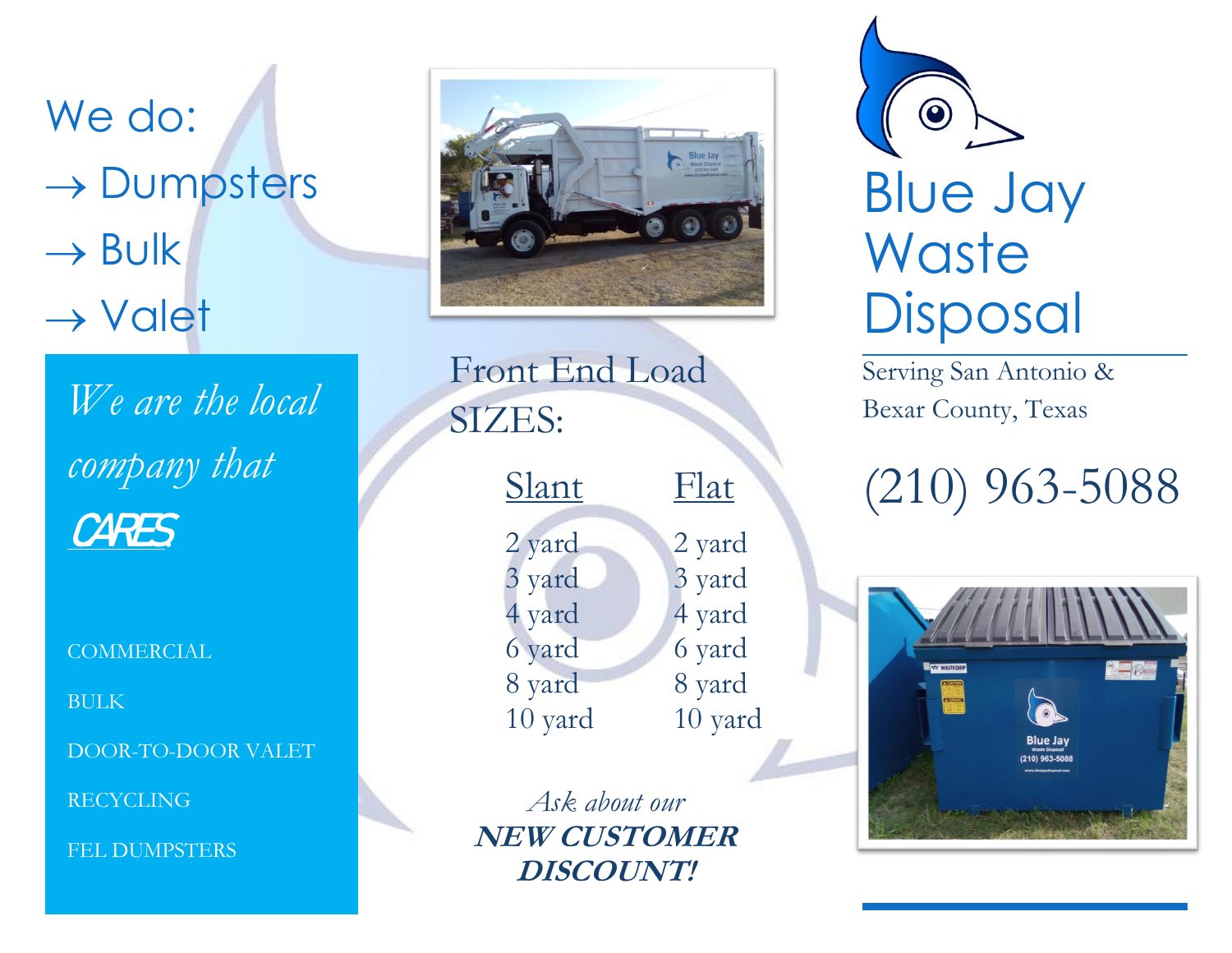We do: → Dumpsters  $\rightarrow$  Bulk → Valet

*We are the local company that*  CARES*.*

COMMERCIAL

BULK

DOOR-TO-DOOR VALET

RECYCLING

FEL DUMPSTERS



Front End Load SIZES:

| <u>Slant</u>      | Flat              |
|-------------------|-------------------|
| 2 yard            | 2 yard            |
| 3 yard<br>4 yard  | 3 yard<br>4 yard  |
| 6 yard            | 6 yard            |
| 8 yard<br>10 yard | 8 yard<br>10 yard |
|                   |                   |

*Ask about our* **NEW CUSTOMER DISCOUNT!**

 $\bigcirc$ Blue Jay **Waste Disposal** 

Serving San Antonio & Bexar County, Texas

# (210) 963-5088